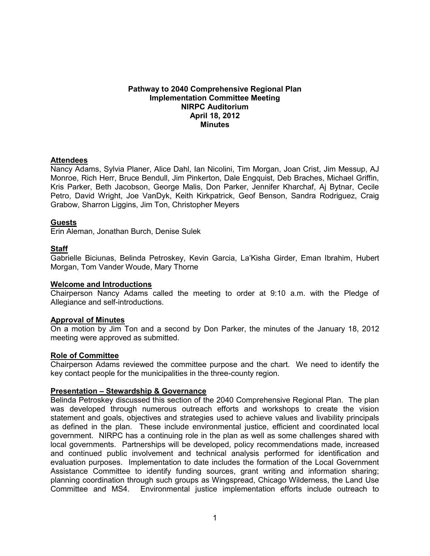### **Pathway to 2040 Comprehensive Regional Plan Implementation Committee Meeting NIRPC Auditorium April 18, 2012 Minutes**

## **Attendees**

Nancy Adams, Sylvia Planer, Alice Dahl, Ian Nicolini, Tim Morgan, Joan Crist, Jim Messup, AJ Monroe, Rich Herr, Bruce Bendull, Jim Pinkerton, Dale Engquist, Deb Braches, Michael Griffin, Kris Parker, Beth Jacobson, George Malis, Don Parker, Jennifer Kharchaf, Aj Bytnar, Cecile Petro, David Wright, Joe VanDyk, Keith Kirkpatrick, Geof Benson, Sandra Rodriguez, Craig Grabow, Sharron Liggins, Jim Ton, Christopher Meyers

## **Guests**

Erin Aleman, Jonathan Burch, Denise Sulek

## **Staff**

Gabrielle Biciunas, Belinda Petroskey, Kevin Garcia, La'Kisha Girder, Eman Ibrahim, Hubert Morgan, Tom Vander Woude, Mary Thorne

### **Welcome and Introductions**

Chairperson Nancy Adams called the meeting to order at 9:10 a.m. with the Pledge of Allegiance and self-introductions.

### **Approval of Minutes**

On a motion by Jim Ton and a second by Don Parker, the minutes of the January 18, 2012 meeting were approved as submitted.

### **Role of Committee**

Chairperson Adams reviewed the committee purpose and the chart. We need to identify the key contact people for the municipalities in the three-county region.

### **Presentation – Stewardship & Governance**

Belinda Petroskey discussed this section of the 2040 Comprehensive Regional Plan. The plan was developed through numerous outreach efforts and workshops to create the vision statement and goals, objectives and strategies used to achieve values and livability principals as defined in the plan. These include environmental justice, efficient and coordinated local government. NIRPC has a continuing role in the plan as well as some challenges shared with local governments. Partnerships will be developed, policy recommendations made, increased and continued public involvement and technical analysis performed for identification and evaluation purposes. Implementation to date includes the formation of the Local Government Assistance Committee to identify funding sources, grant writing and information sharing; planning coordination through such groups as Wingspread, Chicago Wilderness, the Land Use Committee and MS4. Environmental justice implementation efforts include outreach to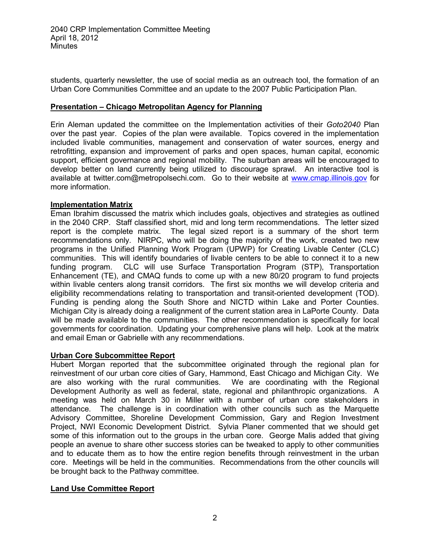students, quarterly newsletter, the use of social media as an outreach tool, the formation of an Urban Core Communities Committee and an update to the 2007 Public Participation Plan.

## **Presentation – Chicago Metropolitan Agency for Planning**

Erin Aleman updated the committee on the Implementation activities of their *Goto2040* Plan over the past year. Copies of the plan were available. Topics covered in the implementation included livable communities, management and conservation of water sources, energy and retrofitting, expansion and improvement of parks and open spaces, human capital, economic support, efficient governance and regional mobility. The suburban areas will be encouraged to develop better on land currently being utilized to discourage sprawl. An interactive tool is available at twitter.com@metropolsechi.com. Go to their website at [www.cmap.illinois.gov](http://www.cmap.illinois.gov/) for more information.

## **Implementation Matrix**

Eman Ibrahim discussed the matrix which includes goals, objectives and strategies as outlined in the 2040 CRP. Staff classified short, mid and long term recommendations. The letter sized report is the complete matrix. The legal sized report is a summary of the short term recommendations only. NIRPC, who will be doing the majority of the work, created two new programs in the Unified Planning Work Program (UPWP) for Creating Livable Center (CLC) communities. This will identify boundaries of livable centers to be able to connect it to a new funding program. CLC will use Surface Transportation Program (STP), Transportation Enhancement (TE), and CMAQ funds to come up with a new 80/20 program to fund projects within livable centers along transit corridors. The first six months we will develop criteria and eligibility recommendations relating to transportation and transit-oriented development (TOD). Funding is pending along the South Shore and NICTD within Lake and Porter Counties. Michigan City is already doing a realignment of the current station area in LaPorte County. Data will be made available to the communities. The other recommendation is specifically for local governments for coordination. Updating your comprehensive plans will help. Look at the matrix and email Eman or Gabrielle with any recommendations.

# **Urban Core Subcommittee Report**

Hubert Morgan reported that the subcommittee originated through the regional plan for reinvestment of our urban core cities of Gary, Hammond, East Chicago and Michigan City. We are also working with the rural communities. We are coordinating with the Regional Development Authority as well as federal, state, regional and philanthropic organizations. A meeting was held on March 30 in Miller with a number of urban core stakeholders in attendance. The challenge is in coordination with other councils such as the Marquette Advisory Committee, Shoreline Development Commission, Gary and Region Investment Project, NWI Economic Development District. Sylvia Planer commented that we should get some of this information out to the groups in the urban core. George Malis added that giving people an avenue to share other success stories can be tweaked to apply to other communities and to educate them as to how the entire region benefits through reinvestment in the urban core. Meetings will be held in the communities. Recommendations from the other councils will be brought back to the Pathway committee.

# **Land Use Committee Report**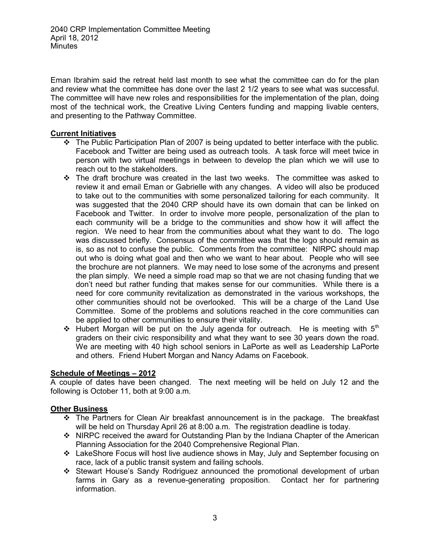Eman Ibrahim said the retreat held last month to see what the committee can do for the plan and review what the committee has done over the last 2 1/2 years to see what was successful. The committee will have new roles and responsibilities for the implementation of the plan, doing most of the technical work, the Creative Living Centers funding and mapping livable centers, and presenting to the Pathway Committee.

## **Current Initiatives**

- \* The Public Participation Plan of 2007 is being updated to better interface with the public. Facebook and Twitter are being used as outreach tools. A task force will meet twice in person with two virtual meetings in between to develop the plan which we will use to reach out to the stakeholders.
- $\div$  The draft brochure was created in the last two weeks. The committee was asked to review it and email Eman or Gabrielle with any changes. A video will also be produced to take out to the communities with some personalized tailoring for each community. It was suggested that the 2040 CRP should have its own domain that can be linked on Facebook and Twitter. In order to involve more people, personalization of the plan to each community will be a bridge to the communities and show how it will affect the region. We need to hear from the communities about what they want to do. The logo was discussed briefly. Consensus of the committee was that the logo should remain as is, so as not to confuse the public. Comments from the committee: NIRPC should map out who is doing what goal and then who we want to hear about. People who will see the brochure are not planners. We may need to lose some of the acronyms and present the plan simply. We need a simple road map so that we are not chasing funding that we don't need but rather funding that makes sense for our communities. While there is a need for core community revitalization as demonstrated in the various workshops, the other communities should not be overlooked. This will be a charge of the Land Use Committee. Some of the problems and solutions reached in the core communities can be applied to other communities to ensure their vitality.
- $\div$  Hubert Morgan will be put on the July agenda for outreach. He is meeting with  $5<sup>th</sup>$ graders on their civic responsibility and what they want to see 30 years down the road. We are meeting with 40 high school seniors in LaPorte as well as Leadership LaPorte and others. Friend Hubert Morgan and Nancy Adams on Facebook.

# **Schedule of Meetings – 2012**

A couple of dates have been changed. The next meeting will be held on July 12 and the following is October 11, both at 9:00 a.m.

# **Other Business**

- The Partners for Clean Air breakfast announcement is in the package. The breakfast will be held on Thursday April 26 at 8:00 a.m. The registration deadline is today.
- ❖ NIRPC received the award for Outstanding Plan by the Indiana Chapter of the American Planning Association for the 2040 Comprehensive Regional Plan.
- LakeShore Focus will host live audience shows in May, July and September focusing on race, lack of a public transit system and failing schools.
- Stewart House's Sandy Rodriguez announced the promotional development of urban farms in Gary as a revenue-generating proposition. Contact her for partnering information.